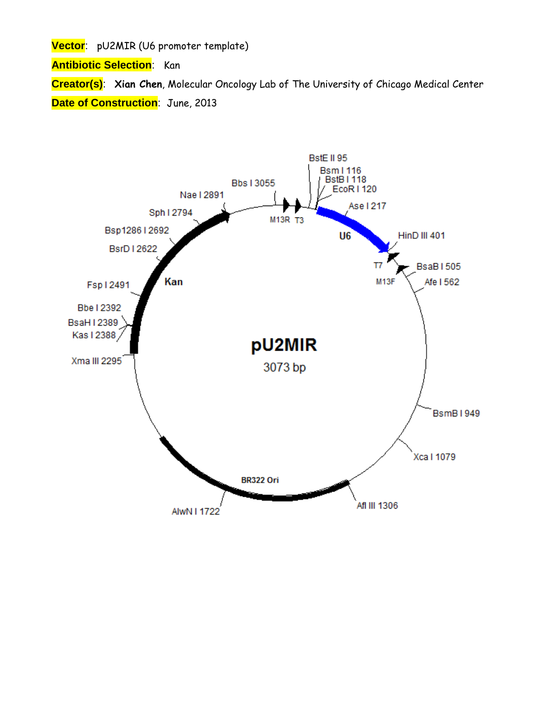**Vector**: pU2MIR (U6 promoter template)

**Antibiotic Selection**: Kan

**Creator(s)**: **Xian Chen**, Molecular Oncology Lab of The University of Chicago Medical Center **Date of Construction**: June, 2013

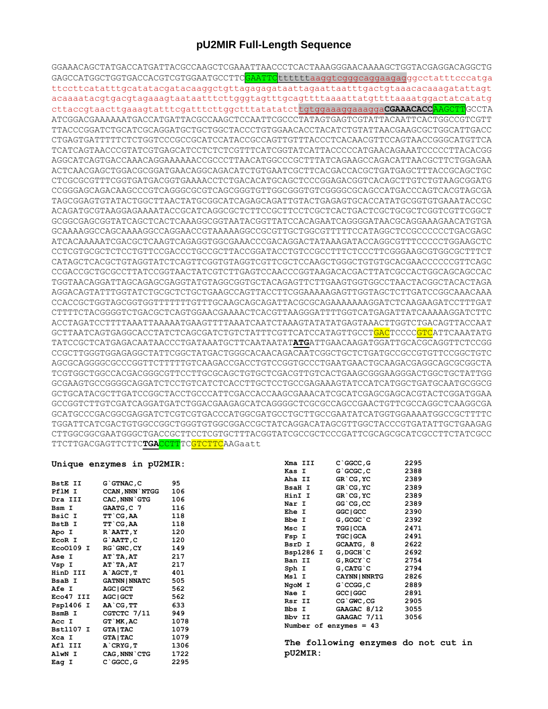## pU2MIR Full-Length Sequence

GGAAACAGCTATGACCATGATTACGCCAAGCTCGAAATTAACCCTCACTAAAGGGAACAAAAGCTGGTACGAGGACAGGCTG GAGCCATGGCTGGTGACCACGTCGTGGAATGCCTTC<mark>GAATTC</mark>ttttttaaggtcgggcaggaagagggcctatttcccatga acaaaatacgtgacgtagaaagtaataatttcttgggtagtttgcagttttaaaattatgttttaaaatggactatcatatg cttaccgtaacttgaaagtatttcgatttcttggctttatatatcttgtggaaaggaaaggaCGAAACACCAAGCTTGCCTA ATCGGACGAAAAAATGACCATGATTACGCCAAGCTCCAATTCGCCCTATAGTGAGTCGTATTACAATTCACTGGCCGTCGTT TTACCCGGATCTGCATCGCAGGATGCTGCTGGCTACCCTGTGGAACACCTACATCTGTATTAACGAAGCGCTGGCATTGACC CTGAGTGATTTTTCTCTGGTCCCGCCGCATCCATACCGCCAGTTGTTTACCCTCACAACGTTCCAGTAACCGGGCATGTTCA TCATCAGTAACCCGTATCGTGAGCATCCTCTCTCTTTCATCGGTATCATTACCCCCATGAACAGAAATCCCCCTTACACGG AGGCATCAGTGACCAAACAGGAAAAAACCGCCCTTAACATGGCCCGCTTTATCAGAAGCCAGACATTAACGCTTCTGGAGAA ACTCAACGAGCTGGACGCGGATGAACAGGCAGACATCTGTGAATCGCTTCACGACCACGCTGATGAGCTTTACCGCAGCTGC CTCGCGCGTTTCGGTGATGACGGTGAAAACCTCTGACACATGCAGCTCCCGGAGACGGTCACAGCTTGTCTGTAAGCGGATG TAGCGGAGTGTATACTGGCTTAACTATGCGGCATCAGAGCAGATTGTACTGAGAGTGCACCATATGCGGTGTGAAATACCGC ACAGATGCGTAAGGAGAAAATACCGCATCAGGCGCTCTTCCGCTTCCTCGCTCACTGACTCGCTGCGCTCGGTCGTTCGGCT GCGGCGAGCGGTATCAGCTCACTCAAAGGCGGTAATACGGTTATCCACAGAATCAGGGGATAACGCAGGAAAGAACATGTGA GCAAAAGGCCAGCAAAAGGCCAGGAACCGTAAAAAGGCCGCGTTGCTGGCGTTTTTCCATAGGCTCCGCCCCCTGACGAGC ATCACAAAAATCGACGCTCAAGTCAGAGGTGGCGAAACCCGACAGGACTATAAAGATACCAGGCGTTTCCCCCTGGAAGCTC CCTCGTGCGCTCTCCTGTTCCGACCCTGCCGCTTACCGGATACCTGTCCGCCTTTCTCCCTTCGGGAAGCGTGGCGCTTTCT CATAGCTCACGCTGTAGGTATCTCAGTTCGGTGTAGGTCGTTCGCTCCAAGCTGGGCTGTGTGCACGAACCCCCCGTTCAGC CCGACCGCTGCGCCTTATCCGGTAACTATCGTCTTGAGTCCAACCCGGTAAGACACGACTTATCGCCACTGGCAGCAGCCAC TGGTAACAGGATTAGCAGAGCGAGGTATGTAGGCGGTGCTACAGAGTTCTTGAAGTGGTGGCCTAACTACGGCTACACTAGA CCACCGCTGGTAGCGGTGGTTTTTTTTGTTTGCAAGCAGCAGATTACGCGCAGAAAAAAAGGATCTCAAGAAGATCCTTTGAT CTTTTCTACGGGGTCTGACGCTCAGTGGAACGAAACTCACGTTAAGGGATTTTGGTCATGAGATTATCAAAAAGGATCTTC GCTTAATCAGTGAGGCACCTATCTCAGCGATCTGTCTATTTCGTTCATCCATAGTTGCCT<mark>GAC</mark>TCCCCGTCATTCAAATATG CCGCTTGGGTGGAGAGGCTATTCGGCTATGACTGGCACAACAGACAATCGGCTGCTCTGATGCCGCCGTGTTCCGGCTGTC TCGTGGCTGGCCACGACGGGCGTTCCTTGCGCAGCTGTGCTCGACGTTGTCACTGAAGCGGGAAGGGACTGGCTGCTATTGG GCGAAGTGCCGGGGCAGGATCTCCTGTCATCTCACCTTGCTCCTGCCGAGAAAGTATCCATCATGGCTGATGCAATGCGGCG GCCGGTCTTGTCGATCAGGATGATCTGGACGAAGAGCATCAGGGGCTCGCGCCAGCCGAACTGTTCGCCAGGCTCAAGGCGA GCATGCCCGACGGCGAGGATCTCGTCGTGACCCATGGCGATGCCTGCTTGCCGAATATCATGGTGGAAAATGGCCGCTTTTC TGGATTCATCGACTGTGGCCGGCTGGGTGTGGCGGACCGCTATCAGGACATAGCGTTGGCTACCCGTGATATTGCTGAAGAG  ${\tt CTTGCGCGAATGGGCTGACCGCTTCCTCGTTTACGGTATCGCCGCTCCCGATTCGCAGCGCATCGCCTTCTATCGCCTCTTCTATCGCCTTCTATCGCCTTCTATCGCCTTCTATCGCCTTCTATCGCCTTCTATCGCCTTCTATCGCCTTCTATCGCCTTCTATCGCCTCTTCTATCGCCTCTTCTATCGCCTCTTCTATCGCCTCTTCTATCGCCTCTTCTATCGCCTCTTCTATCGCCTCTTCTATCGCCTCTTCTATCGCCTCTTCTATCGCCTCTTCTATCGCCTCTTCTATCGCCTCTTCTATCGCCTCTTCTATCGCCTCTTCTA$ TTCTTGACGAGTTCTTCTGACCTTTCGTCTTCAAGaatt

## Unique enzymes in pU2MIR:

| <b>BstE II</b>   | G`GTNAC, C            | 95   |
|------------------|-----------------------|------|
| PflM I           | <b>CCAN, NNN`NTGG</b> | 106  |
| Dra III          | CAC, NNN`GTG          | 106  |
| Bsm I            | GAATG, C 7            | 116  |
| BsiC I           | TT`CG,AA              | 118  |
| <b>BstB</b> I    | TT`CG,AA              | 118  |
| Apo I            | R`AATT, Y             | 120  |
| EcoR I           | G`AATT,C              | 120  |
| Eco0109 I        | <b>RG`GNC, CY</b>     | 149  |
| <b>Ase I</b>     | AT`TA,AT              | 217  |
| Vsp I            | AT`TA,AT              | 217  |
| HinD III         | A AGCT, T             | 401  |
| BsaB I           | <b>GATNN   NNATC</b>  | 505  |
| Afe I            | <b>AGC   GCT</b>      | 562  |
| Eco47 III        | <b>AGC   GCT</b>      | 562  |
| Psp1406 I        | AA`CG, TT             | 633  |
| BsmB I           | CGTCTC 7/11           | 949  |
| Acc I            | GT `MK, AC            | 1078 |
| <b>Bst1107 I</b> | <b>GTA   TAC</b>      | 1079 |
| Xca I            | <b>GTA   TAC</b>      | 1079 |
| Afl III          | A`CRYG,T              | 1306 |
| AlwN I           | CAG, NNN`CTG          | 1722 |
| Eag I            | C`GGCC, G             | 2295 |

|           | $C$ $GC$ , $G$   | 2295                                                                         |
|-----------|------------------|------------------------------------------------------------------------------|
|           | G`GCGC, C        | 2388                                                                         |
|           | GR`CG, YC        | 2389                                                                         |
|           | GR`CG, YC        | 2389                                                                         |
|           | GR`CG,YC         | 2389                                                                         |
|           | GG`CG,CC         | 2389                                                                         |
|           | GGC   GCC        | 2390                                                                         |
|           | G, GCGC`C        | 2392                                                                         |
|           | <b>TGG   CCA</b> | 2471                                                                         |
|           | <b>TGC   GCA</b> | 2491                                                                         |
|           | GCAATG, 8        | 2622                                                                         |
| Bsp1286 I | G, DGCH`C        | 2692                                                                         |
|           | G, RGCY`C        | 2754                                                                         |
|           | G, CATG`C        | 2794                                                                         |
|           |                  | 2826                                                                         |
|           | G`CCGG, C        | 2889                                                                         |
|           | GCC   GGC        | 2891                                                                         |
| Rsr II    | CG`GWC, CG       | 2905                                                                         |
|           |                  | 3055                                                                         |
|           |                  | 3056                                                                         |
|           |                  |                                                                              |
|           |                  | <b>CAYNN   NNRTG</b><br>GAAGAC 8/12<br>GAAGAC 7/11<br>Number of enzymes = 43 |

The following enzymes do not cut in pU2MIR: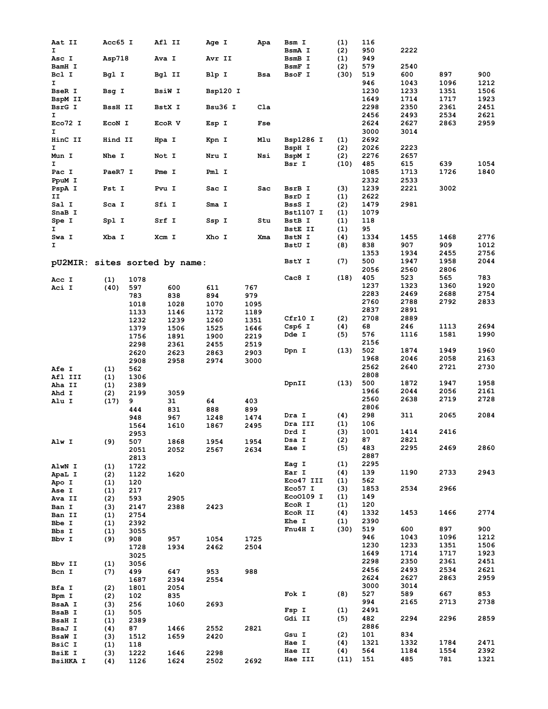| Aat II          | Acc65 I    |              | Afl II                        | Age I    | Apa  | Bsm I           | (1)         | 116          |              |      |      |
|-----------------|------------|--------------|-------------------------------|----------|------|-----------------|-------------|--------------|--------------|------|------|
| I.              |            |              |                               |          |      | BsmA I          | (2)         | 950          | 2222         |      |      |
| Asc I           | Asp718     |              | Ava I                         | Avr II   |      | BsmB I          | (1)         | 949          |              |      |      |
| BamH I          |            |              |                               |          |      | BsmF I          | (2)         | 579          | 2540         |      |      |
| Bcl I           | Bgl I      |              | Bgl II                        | Blp I    | Bsa  | BsoF I          | (30)        | 519          | 600          | 897  | 900  |
| Ι.              |            |              |                               |          |      |                 |             | 946          | 1043         | 1096 | 1212 |
| BseR I          | Bsg I      |              | <b>BsiW I</b>                 | Bsp120 I |      |                 |             | 1230         | 1233         | 1351 | 1506 |
| BspM II         |            |              |                               |          |      |                 |             | 1649         | 1714         | 1717 | 1923 |
| BsrG I          | BssH II    |              | BstX I                        | Bsu36 I  | Cla  |                 |             | 2298         | 2350         | 2361 | 2451 |
| I               |            |              |                               |          |      |                 |             | 2456         | 2493         | 2534 | 2621 |
| Eco72 I         | ECON I     |              | ECOR V                        | Esp I    | Fse  |                 |             | 2624         | 2627         | 2863 | 2959 |
| I               |            |              |                               |          |      |                 |             | 3000         | 3014         |      |      |
| HinC II<br>I    | Hind II    |              | Hpa I                         | Kpn I    | Mlu  | Bsp1286 I       | (1)         | 2692         |              |      |      |
|                 |            |              |                               |          | Nsi  | BspH I          | (2)         | 2026<br>2276 | 2223<br>2657 |      |      |
| Mun I<br>Ι.     | Nhe I      |              | Not I                         | Nru I    |      | BspM I<br>Bsr I | (2)<br>(10) | 485          | 615          | 639  | 1054 |
| Pac I           | PaeR7 I    |              | Pme I                         | Pml I    |      |                 |             | 1085         | 1713         | 1726 | 1840 |
| PpuM I          |            |              |                               |          |      |                 |             | 2332         | 2533         |      |      |
| PspA I          | Pst I      |              | Pvu I                         | Sac I    | Sac  | BsrB I          | (3)         | 1239         | 2221         | 3002 |      |
| IJ              |            |              |                               |          |      | BsrD I          | (1)         | 2622         |              |      |      |
| Sal I           | Sca I      |              | Sfi I                         | Sma I    |      | BssS I          | (2)         | 1479         | 2981         |      |      |
| SnaB I          |            |              |                               |          |      | Bst1107 I       | (1)         | 1079         |              |      |      |
| Spe I           | Spl I      |              | Srf I                         | Ssp I    | Stu  | BstB I          | (1)         | 118          |              |      |      |
| I.              |            |              |                               |          |      | BstE II         | (1)         | 95           |              |      |      |
| Swa I           | Xba I      |              | Xcm I                         | Xho I    | Xma  | <b>BstN I</b>   | (4)         | 1334         | 1455         | 1468 | 2776 |
| I.              |            |              |                               |          |      | BstU I          | (8)         | 838          | 907          | 909  | 1012 |
|                 |            |              |                               |          |      |                 |             | 1353         | 1934         | 2455 | 2756 |
|                 |            |              | pU2MIR: sites sorted by name: |          |      | BstY I          | (7)         | 500          | 1947         | 1958 | 2044 |
|                 |            |              |                               |          |      |                 |             | 2056         | 2560         | 2806 |      |
| Acc I           | (1)        | 1078         |                               |          |      | Cac8 I          | (18)        | 405          | 523          | 565  | 783  |
| Aci I           | (40)       | 597          | 600                           | 611      | 767  |                 |             | 1237         | 1323         | 1360 | 1920 |
|                 |            | 783          | 838                           | 894      | 979  |                 |             | 2283         | 2469         | 2688 | 2754 |
|                 |            | 1018         | 1028                          | 1070     | 1095 |                 |             | 2760         | 2788         | 2792 | 2833 |
|                 |            | 1133         | 1146                          | 1172     | 1189 |                 |             | 2837         | 2891         |      |      |
|                 |            | 1232         | 1239                          | 1260     | 1351 | Cfr10 I         | (2)         | 2708         | 2889         |      |      |
|                 |            | 1379         | 1506                          | 1525     | 1646 | Csp6 I          | (4)         | 68           | 246          | 1113 | 2694 |
|                 |            | 1756         | 1891                          | 1900     | 2219 | Dde I           | (5)         | 576          | 1116         | 1581 | 1990 |
|                 |            | 2298         | 2361                          | 2455     | 2519 |                 |             | 2156         |              |      |      |
|                 |            | 2620         | 2623                          | 2863     | 2903 | Dpn I           | (13)        | 502          | 1874         | 1949 | 1960 |
|                 |            | 2908         | 2958                          | 2974     | 3000 |                 |             | 1968         | 2046         | 2058 | 2163 |
| <b>Afe I</b>    | (1)        | 562          |                               |          |      |                 |             | 2562         | 2640         | 2721 | 2730 |
| Afl III         | (1)        | 1306         |                               |          |      |                 |             | 2808         |              |      |      |
| Aha II          | (1)        | 2389         |                               |          |      | DpnII           | (13)        | 500          | 1872         | 1947 | 1958 |
| Ahd I           | (2)        | 2199         | 3059                          |          |      |                 |             | 1966         | 2044         | 2056 | 2161 |
| Alu I           | (17)       | 9            | 31                            | 64       | 403  |                 |             | 2560         | 2638         | 2719 | 2728 |
|                 |            | 444          | 831                           | 888      | 899  |                 |             | 2806         |              |      |      |
|                 |            | 948          | 967                           | 1248     | 1474 | Dra I           | (4)         | 298          | 311          | 2065 | 2084 |
|                 |            | 1564         | 1610                          | 1867     | 2495 | Dra III         | (1)         | 106          |              |      |      |
|                 |            | 2953         |                               |          |      | Drd I           | (3)         | 1001         | 1414         | 2416 |      |
| Alw I           | (9)        | 507          | 1868                          | 1954     | 1954 | Dsa I           | (2)         | 87           | 2821         |      |      |
|                 |            | 2051         | 2052                          | 2567     | 2634 | Eae I           | (5)         | 483<br>2887  | 2295         | 2469 | 2860 |
|                 |            | 2813         |                               |          |      | Eag I           | (1)         | 2295         |              |      |      |
| AlwN I          | (1)        | 1722         |                               |          |      | Ear I           | (4)         | 139          | 1190         | 2733 | 2943 |
| ApaL I          | (2)        | 1122         | 1620                          |          |      | Eco47 III       | (1)         | 562          |              |      |      |
| Apo I           | (1)        | 120          |                               |          |      | Eco57 I         | (3)         | 1853         | 2534         | 2966 |      |
| Ase I           | (1)        | 217<br>593   | 2905                          |          |      | Eco0109 I       | (1)         | 149          |              |      |      |
| Ava II          | (2)        |              |                               |          |      | EcoR I          | (1)         | 120          |              |      |      |
| Ban I<br>Ban II | (3)        | 2147<br>2754 | 2388                          | 2423     |      | EcoR II         | (4)         | 1332         | 1453         | 1466 | 2774 |
| Bbe I           | (1)<br>(1) | 2392         |                               |          |      | Ehe I           | (1)         | 2390         |              |      |      |
| Bbs I           | (1)        | 3055         |                               |          |      | Fnu4H I         | (30)        | 519          | 600          | 897  | 900  |
| Bbv I           | (9)        | 908          | 957                           | 1054     | 1725 |                 |             | 946          | 1043         | 1096 | 1212 |
|                 |            | 1728         | 1934                          | 2462     | 2504 |                 |             | 1230         | 1233         | 1351 | 1506 |
|                 |            | 3025         |                               |          |      |                 |             | 1649         | 1714         | 1717 | 1923 |
| Bbv II          | (1)        | 3056         |                               |          |      |                 |             | 2298         | 2350         | 2361 | 2451 |
| Bcn I           | (7)        | 499          | 647                           | 953      | 988  |                 |             | 2456         | 2493         | 2534 | 2621 |
|                 |            | 1687         | 2394                          | 2554     |      |                 |             | 2624         | 2627         | 2863 | 2959 |
| Bfa I           | (2)        | 1801         | 2054                          |          |      |                 |             | 3000         | 3014         |      |      |
| Bpm I           | (2)        | 102          | 835                           |          |      | Fok I           | (8)         | 527          | 589          | 667  | 853  |
| BsaA I          | (3)        | 256          | 1060                          | 2693     |      |                 |             | 994          | 2165         | 2713 | 2738 |
| BsaB I          | (1)        | 505          |                               |          |      | Fsp I           | (1)         | 2491         |              |      |      |
| BsaH I          | (1)        | 2389         |                               |          |      | Gdi II          | (5)         | 482          | 2294         | 2296 | 2859 |
| BsaJ I          | (4)        | 87           | 1466                          | 2552     | 2821 |                 |             | 2886         |              |      |      |
| BsaW I          | (3)        | 1512         | 1659                          | 2420     |      | Gsu I           | (2)         | 101          | 834          |      |      |
| BsiC I          | (1)        | 118          |                               |          |      | Hae I           | (4)         | 1321         | 1332         | 1784 | 2471 |
| BsiE I          | (3)        | 1222         | 1646                          | 2298     |      | Hae II          | (4)         | 564          | 1184         | 1554 | 2392 |
| BsiHKA I        | (4)        | 1126         | 1624                          | 2502     | 2692 | Hae III         | (11)        | 151          | 485          | 781  | 1321 |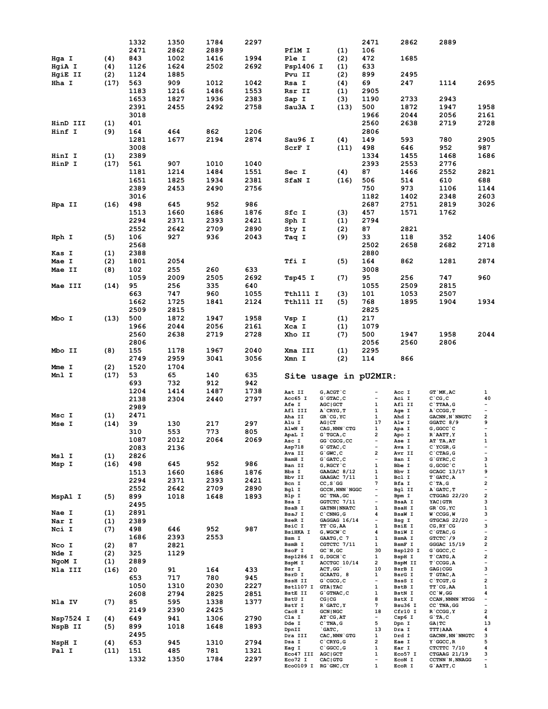|                |      | 1332 | 1350 | 1784 | 2297 |                                 |                                 | 2471                          | 2862             | 2889                                       |                                                     |
|----------------|------|------|------|------|------|---------------------------------|---------------------------------|-------------------------------|------------------|--------------------------------------------|-----------------------------------------------------|
|                |      | 2471 | 2862 | 2889 |      | PflM I                          | (1)                             | 106                           |                  |                                            |                                                     |
| Hga I          | (4)  | 843  | 1002 | 1416 | 1994 | Ple I                           | (2)                             | 472                           | 1685             |                                            |                                                     |
| HgiA I         | (4)  | 1126 | 1624 | 2502 | 2692 | Psp1406 I                       | (1)                             | 633                           |                  |                                            |                                                     |
|                |      | 1124 |      |      |      |                                 |                                 | 899                           | 2495             |                                            |                                                     |
| <b>HgiE II</b> | (2)  |      | 1885 |      |      | Pvu II                          | (2)                             |                               |                  |                                            |                                                     |
| Hha I          | (17) | 563  | 909  | 1012 | 1042 | Rsa I                           | (4)                             | 69                            | 247              | 1114                                       | 2695                                                |
|                |      | 1183 | 1216 | 1486 | 1553 | Rsr II                          | (1)                             | 2905                          |                  |                                            |                                                     |
|                |      | 1653 | 1827 | 1936 | 2383 | Sap I                           | (3)                             | 1190                          | 2733             | 2943                                       |                                                     |
|                |      | 2391 | 2455 | 2492 | 2758 | Sau3A I                         | (13)                            | 500                           | 1872             | 1947                                       | 1958                                                |
|                |      | 3018 |      |      |      |                                 |                                 | 1966                          | 2044             | 2056                                       | 2161                                                |
| HinD III       | (1)  | 401  |      |      |      |                                 |                                 | 2560                          | 2638             | 2719                                       | 2728                                                |
|                |      |      |      |      |      |                                 |                                 |                               |                  |                                            |                                                     |
| Hinf I         | (9)  | 164  | 464  | 862  | 1206 |                                 |                                 | 2806                          |                  |                                            |                                                     |
|                |      | 1281 | 1677 | 2194 | 2874 | Sau96 I                         | (4)                             | 149                           | 593              | 780                                        | 2905                                                |
|                |      | 3008 |      |      |      | ScrF I                          | (11)                            | 498                           | 646              | 952                                        | 987                                                 |
| HinI I         | (1)  | 2389 |      |      |      |                                 |                                 | 1334                          | 1455             | 1468                                       | 1686                                                |
| HinP I         | (17) | 561  | 907  | 1010 | 1040 |                                 |                                 | 2393                          | 2553             | 2776                                       |                                                     |
|                |      | 1181 | 1214 | 1484 | 1551 | Sec I                           | (4)                             | 87                            | 1466             | 2552                                       | 2821                                                |
|                |      | 1651 | 1825 | 1934 | 2381 | SfaN I                          | (16)                            | 506                           | 514              | 610                                        | 688                                                 |
|                |      |      |      |      |      |                                 |                                 |                               |                  |                                            |                                                     |
|                |      | 2389 | 2453 | 2490 | 2756 |                                 |                                 | 750                           | 973              | 1106                                       | 1144                                                |
|                |      | 3016 |      |      |      |                                 |                                 | 1182                          | 1402             | 2348                                       | 2603                                                |
| Hpa II         | (16) | 498  | 645  | 952  | 986  |                                 |                                 | 2687                          | 2751             | 2819                                       | 3026                                                |
|                |      | 1513 | 1660 | 1686 | 1876 | Sfc I                           | (3)                             | 457                           | 1571             | 1762                                       |                                                     |
|                |      | 2294 | 2371 | 2393 | 2421 | Sph I                           | (1)                             | 2794                          |                  |                                            |                                                     |
|                |      | 2552 | 2642 | 2709 | 2890 | Sty I                           | (2)                             | 87                            | 2821             |                                            |                                                     |
|                |      |      | 927  |      |      |                                 |                                 | 33                            |                  |                                            |                                                     |
| Hph I          | (5)  | 106  |      | 936  | 2043 | Taq I                           | (9)                             |                               | 118              | 352                                        | 1406                                                |
|                |      | 2568 |      |      |      |                                 |                                 | 2502                          | 2658             | 2682                                       | 2718                                                |
| Kas I          | (1)  | 2388 |      |      |      |                                 |                                 | 2880                          |                  |                                            |                                                     |
| Mae I          | (2)  | 1801 | 2054 |      |      | Tfi I                           | (5)                             | 164                           | 862              | 1281                                       | 2874                                                |
| Mae II         | (8)  | 102  | 255  | 260  | 633  |                                 |                                 | 3008                          |                  |                                            |                                                     |
|                |      | 1059 | 2009 | 2505 | 2692 | Tsp45 I                         | (7)                             | 95                            | 256              | 747                                        | 960                                                 |
|                |      | 95   |      |      |      |                                 |                                 | 1055                          | 2509             | 2815                                       |                                                     |
| Mae III        | (14) |      | 256  | 335  | 640  |                                 |                                 |                               |                  |                                            |                                                     |
|                |      | 663  | 747  | 960  | 1055 | Tth111 I                        | (3)                             | 101                           | 1053             | 2507                                       |                                                     |
|                |      | 1662 | 1725 | 1841 | 2124 | Tth111 II                       | (5)                             | 768                           | 1895             | 1904                                       | 1934                                                |
|                |      | 2509 | 2815 |      |      |                                 |                                 | 2825                          |                  |                                            |                                                     |
| Mbo I          | (13) | 500  | 1872 | 1947 | 1958 | Vsp I                           | (1)                             | 217                           |                  |                                            |                                                     |
|                |      | 1966 | 2044 | 2056 | 2161 | Xca I                           | (1)                             | 1079                          |                  |                                            |                                                     |
|                |      | 2560 | 2638 | 2719 | 2728 | Xho II                          | (7)                             | 500                           | 1947             | 1958                                       | 2044                                                |
|                |      |      |      |      |      |                                 |                                 |                               |                  |                                            |                                                     |
|                |      | 2806 |      |      |      |                                 |                                 | 2056                          | 2560             | 2806                                       |                                                     |
|                | (8)  | 155  | 1178 | 1967 | 2040 | Xma III                         | (1)                             |                               |                  |                                            |                                                     |
| Mbo II         |      |      |      |      |      |                                 |                                 | 2295                          |                  |                                            |                                                     |
|                |      | 2749 | 2959 | 3041 | 3056 | Xmn I                           | (2)                             | 114                           | 866              |                                            |                                                     |
|                |      |      |      |      |      |                                 |                                 |                               |                  |                                            |                                                     |
| Mme I          | (2)  | 1520 | 1704 |      |      |                                 |                                 |                               |                  |                                            |                                                     |
| Mnl I          | (17) | 53   | 65   | 140  | 635  |                                 | Site usage in pU2MIR:           |                               |                  |                                            |                                                     |
|                |      | 693  | 732  | 912  | 942  |                                 |                                 |                               |                  |                                            |                                                     |
|                |      | 1204 | 1414 | 1487 | 1738 | Aat II                          | $G$ , $ACGT$ $C$                |                               | Acc I            | GT `MK, AC                                 | 1                                                   |
|                |      | 2138 | 2304 | 2440 | 2797 | Acc65 I                         | G`GTAC, C                       | $\overline{\phantom{a}}$      | Aci I            | $C^{\dagger}CG, C$                         | 40                                                  |
|                |      | 2989 |      |      |      | <b>Afe I</b>                    | <b>AGC   GCT</b>                | 1                             | Afl II           | $C$ TTAA, $G$                              | $\overline{\phantom{a}}$                            |
| Msc I          | (1)  | 2471 |      |      |      | Afl III<br>Aha II               | A`CRYG, T                       | 1<br>1                        | Age I<br>Ahd I   | A CCGG, T<br><b>GACNN, N`NNGTC</b>         | $\overline{\phantom{a}}$<br>$\overline{\mathbf{2}}$ |
|                |      |      |      |      |      | Alu I                           | GR`CG, YC<br>AG CT              | 17                            | Alw I            | GGATC 8/9                                  | 9                                                   |
| Mse I          | (14) | 39   | 130  | 217  | 297  | AlwN I                          | CAG, NNN CTG                    | 1                             | Apa I            | G, GGCC `C                                 | $\overline{\phantom{a}}$                            |
|                |      | 310  | 553  | 773  | 805  | ApaL I                          | G`TGCA, C                       | 2                             | Apo I            | R`AATT, Y                                  | $\mathbf{1}$                                        |
|                |      | 1087 | 2012 | 2064 | 2069 | Asc I                           | GG`CGCG, CC                     |                               | <b>Ase I</b>     | AT`TA, AT                                  | 1                                                   |
|                |      | 2083 | 2136 |      |      | Asp718                          | $G$ $G$ TAC, C                  | $\overline{\phantom{a}}$      | Ava I            | $C$ $YCGR, G$                              | $\overline{\phantom{a}}$                            |
| Msl I          | (1)  | 2826 |      |      |      | Ava II                          | $G$ $GWC$ , $C$                 | 2<br>$\overline{\phantom{a}}$ | Avr II           | C CTAG, G                                  | $\overline{\phantom{a}}$                            |
| Msp I          | (16) | 498  | 645  | 952  | 986  | BamH I<br>Ban II                | G`GATC, C<br>G,RGCY`C           | 1                             | Ban I<br>Bbe I   | $G$ $GYRC$ , $C$<br>$G$ , $GCGC$ $C$       | з<br>1                                              |
|                |      | 1513 | 1660 | 1686 | 1876 | Bbs I                           | GAAGAC 8/12                     | 1                             | Bbv I            | GCAGC 13/17                                | 9                                                   |
|                |      | 2294 | 2371 | 2393 | 2421 | Bbv II                          | GAAGAC 7/11                     | 1                             | Bcl I            | $T$ $GATC$ , $A$                           | $\overline{\phantom{a}}$                            |
|                |      |      |      |      |      | Bcn I                           | $CC, S$ GG                      | 7                             | Bfa I            | $C^T A, G$                                 | $\overline{\mathbf{2}}$                             |
|                |      | 2552 | 2642 | 2709 | 2890 | Bgl I                           | <b>GCCN, NNN `NGGC</b>          | $\overline{\phantom{a}}$      | Bgl II           | A GATC, T                                  | $\overline{\phantom{a}}$                            |
| MspA1 I        | (5)  | 899  | 1018 | 1648 | 1893 | Blp I<br>Bsa I                  | GC TNA, GC<br>GGTCTC 7/11       | $\overline{\phantom{a}}$      | Bpm I<br>BsaA I  | CTGGAG 22/20<br>YAC   GTR                  | $\overline{\mathbf{2}}$<br>з                        |
|                |      | 2495 |      |      |      | BsaB I                          | <b>GATNN   NNATC</b>            | 1                             | <b>BsaH I</b>    | GR`CG, YC                                  | 1                                                   |
| Nae I          | (1)  | 2891 |      |      |      | BsaJ I                          | $C$ CNNG, $G$                   | 4                             | BsaW I           | $W$ $CCGG, W$                              | з                                                   |
| Nar I          | (1)  | 2389 |      |      |      | <b>BseR I</b>                   | GAGGAG 16/14                    | $\overline{\phantom{a}}$      | Bsg I            | GTGCAG 22/20                               | $\overline{\phantom{a}}$                            |
| Nci I          | (7)  | 498  | 646  | 952  | 987  | BsiC I                          | TT`CG,AA                        | 1                             | <b>BsiE I</b>    | CG, RY `CG                                 | з                                                   |
|                |      | 1686 |      | 2553 |      | <b>BsiHKA I</b>                 | G, WGCW `C                      | 4                             | BsiW I           | $C$ GTAC, $G$                              | $\overline{\phantom{a}}$                            |
|                |      |      | 2393 |      |      | Bsm I<br>BsmB I                 | GAATG, C 7<br>CGTCTC 7/11       | $\mathbf{1}$<br>$\mathbf{1}$  | BsmA I<br>BsmF I | GTCTC 79<br>$GGGAC$ 15/19                  | $\overline{\mathbf{2}}$<br>2                        |
| Nco I          | (2)  | 87   | 2821 |      |      | BsoF I                          | $GC$ `N, $GC$                   | 30                            | Bsp120 I         | G`GGCC, C                                  | $\overline{\phantom{a}}$                            |
| Nde I          | (2)  | 325  | 1129 |      |      | Bsp1286 I G, DGCH C             |                                 | $\mathbf{1}$                  | BspH I           | $T$ $CATG, A$                              | $\overline{\mathbf{c}}$                             |
| NgoM I         | (1)  | 2889 |      |      |      | BspM I                          | ACCTGC 10/14                    | $\mathbf{2}$                  | BspM II          | $T$ $CCGG, A$                              | $\overline{\phantom{a}}$                            |
| Nla III        | (16) | 20   | 91   | 164  | 433  | Bsr I                           | ACT, GG                         | 10                            | BsrB I           | GAG   CGG                                  | з                                                   |
|                |      | 653  | 717  | 780  | 945  | BsrD I                          | GCAATG, 8                       | $\mathbf{1}$                  | BsrG I           | T`GTAC, A                                  | $\overline{\phantom{a}}$                            |
|                |      | 1050 | 1310 | 2030 | 2227 | <b>BssH II</b>                  | G`CGCG, C                       | $\overline{\phantom{a}}$<br>1 | BssS I<br>BstB I | $C$ TCGT, G                                | $\overline{\mathbf{2}}$<br>1                        |
|                |      |      |      |      |      | Bst1107 I GTA TAC<br>BstE II    | G`GTNAC, C                      | $\mathbf{1}$                  | BstN I           | TT `CG, AA<br>$CC^W$ , GG                  | 4                                                   |
|                |      | 2608 | 2794 | 2825 | 2851 | BstU I                          | CG   CG                         | 8                             | BstX I           | <b>CCAN, NNNN NTGG</b>                     | -                                                   |
| Nla IV         | (7)  | 85   | 595  | 1338 | 1377 | BstY I                          | R GATC, Y                       | $7\overline{ }$               | Bsu36 I          | CC `TNA, GG                                | $\overline{\phantom{a}}$                            |
|                |      | 2149 | 2390 | 2425 |      | Cac8 I                          | <b>GCN   NGC</b>                | 18                            | Cfr10 I          | $R$ $CCGG, Y$                              | 2                                                   |
| Nsp7524 I      | (4)  | 649  | 941  | 1306 | 2790 | Cla I                           | $AT$ $CG, AT$                   | $-$                           | Csp6 I           | $G$ TA, $C$                                | 4                                                   |
| NspB II        | (5)  | 899  | 1018 | 1648 | 1893 | Dde I                           | $C$ TNA, $G$                    | 5                             | Dpn I            | GA   TC                                    | 13                                                  |
|                |      | 2495 |      |      |      | DpnII<br>Dra III                | $\Gamma$ GATC,<br>CAC, NNN `GTG | 13<br>1                       | Dra I<br>Drd I   | <b>TTT   AAA</b><br><b>GACNN, NN NNGTC</b> | 4<br>з                                              |
|                |      |      | 945  | 1310 | 2794 | Dsa I                           | $C$ $CRYG$ , $G$                | $\overline{2}$                | Eae I            | $Y$ GGCC, R                                | 5                                                   |
| NspH I         | (4)  | 653  |      |      |      | Eag I                           | $C$ $GC$ , $G$                  | 1                             | Ear I            | CTCTTC 7/10                                | 4                                                   |
| Pal I          | (11) | 151  | 485  | 781  | 1321 | Eco47 III AGC GCT               |                                 | $\mathbf{1}$                  | Eco57 I          | CTGAAG 21/19                               | з                                                   |
|                |      | 1332 | 1350 | 1784 | 2297 | Eco72 I<br>Eco0109 I RG'GNC, CY | CAC   GTG                       | $\overline{\phantom{a}}$<br>1 | ECON I<br>EcoR I | <b>CCTNN `N, NNAGG</b><br>$G$ `AATT, $C$   | $\overline{\phantom{a}}$<br>1                       |